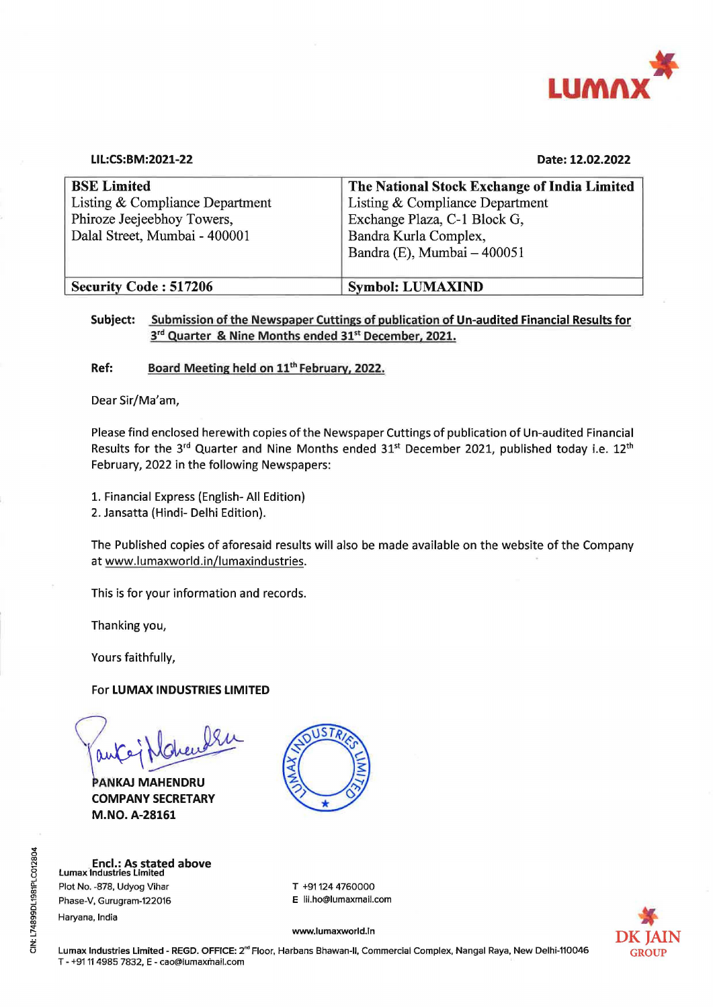

| $\sim$                                                      |                                                       |
|-------------------------------------------------------------|-------------------------------------------------------|
|                                                             | <b>LUMAX</b>                                          |
|                                                             |                                                       |
|                                                             |                                                       |
| LIL:CS:BM:2021-22                                           | Date: 12.02.2022                                      |
| <b>BSE Limited</b>                                          | The National Stock Exchange of India Limited          |
| Listing & Compliance Department                             | Listing & Compliance Department                       |
| Phiroze Jeejeebhoy Towers,<br>Dalal Street, Mumbai - 400001 | Exchange Plaza, C-1 Block G,<br>Bandra Kurla Complex, |
|                                                             | Bandra (E), Mumbai - 400051                           |
| <b>Security Code: 517206</b>                                | <b>Symbol: LUMAXIND</b>                               |

## Subject: Submission of the Newspaper Cuttings of publication of Un-audited Financial Results for 3<sup>rd</sup> Quarter & Nine Months ended 31<sup>st</sup> December, 2021.

Ref: Board Meeting held on 11" February, 2022.

Dear Sir/Ma'am,

Please find enclosed herewith copies of the Newspaper Cuttings of publication of Un-audited Financial Results for the 3<sup>rd</sup> Quarter and Nine Months ended 31<sup>st</sup> December 2021, published today i.e. 12<sup>th</sup> February, 2022 in the following Newspapers:

1. Financial Express (English- All Edition)

2. Jansatta (Hindi- Delhi Edition).

The Published copies of aforesaid results will also be made available on the website of the Company at www.lumaxworld.in/lumaxindustries.

This is for your information and records.

Thanking you,

Yours faithfully,

For LUMAX INDUSTRIES LIMITED

Pauloj Mohanden

PANKAJ MAHENDRU COMPANY SECRETARY M.NO. A-28161

| <b>Encl.: As stated above</b><br>Lumax Industries Limited |                        |
|-----------------------------------------------------------|------------------------|
| Plot No. -878, Udyog Vihar                                | T +91124 4760000       |
| Phase-V, Gurugram-122016                                  | E lil.ho@lumaxmail.com |
|                                                           |                        |



CIN: L74899DL1981PLC012804 CIN: L74899DL1981PLC012804

www.lur<br>|<br>|<br>|arbans Bh Lumax Industries Limited - REGD. OFFICE: 2<sup>nd</sup> Floor, Harbans Bhawan-II, Commercial Complex, Nangal Raya, New Delhi-110046 GROUP T - +91 11 4985 7832, E - cao@lumaxmail.com

www.lumaxworld.in